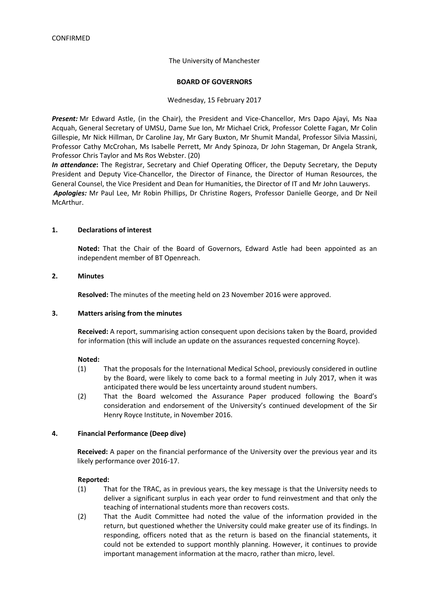The University of Manchester

#### **BOARD OF GOVERNORS**

Wednesday, 15 February 2017

*Present:* Mr Edward Astle, (in the Chair), the President and Vice-Chancellor, Mrs Dapo Ajayi, Ms Naa Acquah, General Secretary of UMSU, Dame Sue Ion, Mr Michael Crick, Professor Colette Fagan, Mr Colin Gillespie, Mr Nick Hillman, Dr Caroline Jay, Mr Gary Buxton, Mr Shumit Mandal, Professor Silvia Massini, Professor Cathy McCrohan, Ms Isabelle Perrett, Mr Andy Spinoza, Dr John Stageman, Dr Angela Strank, Professor Chris Taylor and Ms Ros Webster. (20)

*In attendance***:** The Registrar, Secretary and Chief Operating Officer, the Deputy Secretary, the Deputy President and Deputy Vice-Chancellor, the Director of Finance, the Director of Human Resources, the General Counsel, the Vice President and Dean for Humanities, the Director of IT and Mr John Lauwerys. *Apologies:* Mr Paul Lee, Mr Robin Phillips, Dr Christine Rogers, Professor Danielle George, and Dr Neil McArthur.

#### **1. Declarations of interest**

**Noted:** That the Chair of the Board of Governors, Edward Astle had been appointed as an independent member of BT Openreach.

#### **2. Minutes**

**Resolved:** The minutes of the meeting held on 23 November 2016 were approved.

#### **3. Matters arising from the minutes**

**Received:** A report, summarising action consequent upon decisions taken by the Board, provided for information (this will include an update on the assurances requested concerning Royce).

#### **Noted:**

- (1) That the proposals for the International Medical School, previously considered in outline by the Board, were likely to come back to a formal meeting in July 2017, when it was anticipated there would be less uncertainty around student numbers.
- (2) That the Board welcomed the Assurance Paper produced following the Board's consideration and endorsement of the University's continued development of the Sir Henry Royce Institute, in November 2016.

#### **4. Financial Performance (Deep dive)**

**Received:** A paper on the financial performance of the University over the previous year and its likely performance over 2016-17.

- (1) That for the TRAC, as in previous years, the key message is that the University needs to deliver a significant surplus in each year order to fund reinvestment and that only the teaching of international students more than recovers costs.
- (2) That the Audit Committee had noted the value of the information provided in the return, but questioned whether the University could make greater use of its findings. In responding, officers noted that as the return is based on the financial statements, it could not be extended to support monthly planning. However, it continues to provide important management information at the macro, rather than micro, level.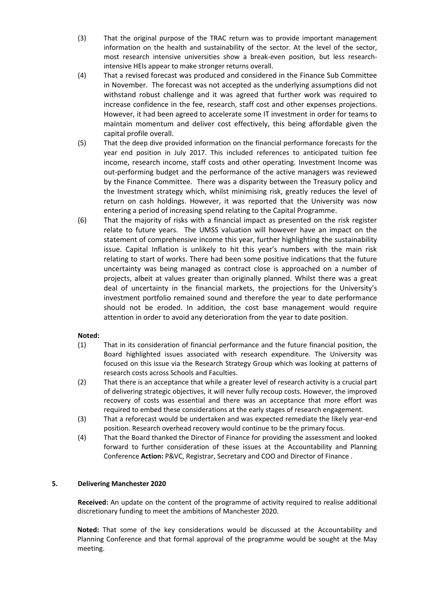- (3) That the original purpose of the TRAC return was to provide important management information on the health and sustainability of the sector. At the level of the sector, most research intensive universities show a break-even position, but less researchintensive HEIs appear to make stronger returns overall.
- (4) That a revised forecast was produced and considered in the Finance Sub Committee in November. The forecast was not accepted as the underlying assumptions did not withstand robust challenge and it was agreed that further work was required to increase confidence in the fee, research, staff cost and other expenses projections. However, it had been agreed to accelerate some IT investment in order for teams to maintain momentum and deliver cost effectively, this being affordable given the capital profile overall.
- (5) That the deep dive provided information on the financial performance forecasts for the year end position in July 2017. This included references to anticipated tuition fee income, research income, staff costs and other operating. Investment Income was out-performing budget and the performance of the active managers was reviewed by the Finance Committee. There was a disparity between the Treasury policy and the Investment strategy which, whilst minimising risk, greatly reduces the level of return on cash holdings. However, it was reported that the University was now entering a period of increasing spend relating to the Capital Programme.
- (6) That the majority of risks with a financial impact as presented on the risk register relate to future years. The UMSS valuation will however have an impact on the statement of comprehensive income this year, further highlighting the sustainability issue. Capital Inflation is unlikely to hit this year's numbers with the main risk relating to start of works. There had been some positive indications that the future uncertainty was being managed as contract close is approached on a number of projects, albeit at values greater than originally planned. Whilst there was a great deal of uncertainty in the financial markets, the projections for the University's investment portfolio remained sound and therefore the year to date performance should not be eroded. In addition, the cost base management would require attention in order to avoid any deterioration from the year to date position.

## **Noted:**

- (1) That in its consideration of financial performance and the future financial position, the Board highlighted issues associated with research expenditure. The University was focused on this issue via the Research Strategy Group which was looking at patterns of research costs across Schools and Faculties.
- (2) That there is an acceptance that while a greater level of research activity is a crucial part of delivering strategic objectives, it will never fully recoup costs. However, the improved recovery of costs was essential and there was an acceptance that more effort was required to embed these considerations at the early stages of research engagement.
- (3) That a reforecast would be undertaken and was expected remediate the likely year-end position. Research overhead recovery would continue to be the primary focus.
- (4) That the Board thanked the Director of Finance for providing the assessment and looked forward to further consideration of these issues at the Accountability and Planning Conference **Action:** P&VC, Registrar, Secretary and COO and Director of Finance .

## **5. Delivering Manchester 2020**

**Received:** An update on the content of the programme of activity required to realise additional discretionary funding to meet the ambitions of Manchester 2020.

**Noted:** That some of the key considerations would be discussed at the Accountability and Planning Conference and that formal approval of the programme would be sought at the May meeting.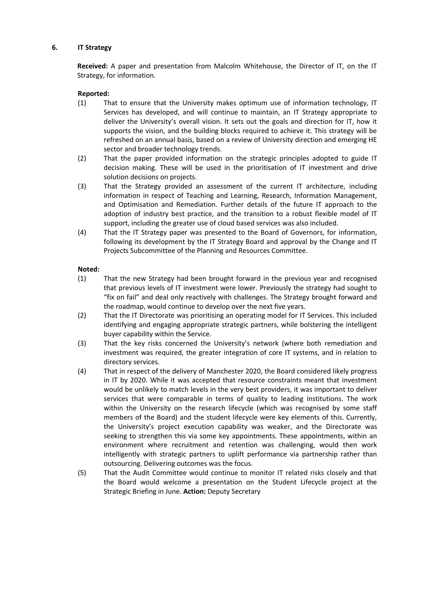### **6. IT Strategy**

**Received:** A paper and presentation from Malcolm Whitehouse, the Director of IT, on the IT Strategy, for information.

## **Reported:**

- (1) That to ensure that the University makes optimum use of information technology, IT Services has developed, and will continue to maintain, an IT Strategy appropriate to deliver the University's overall vision. It sets out the goals and direction for IT, how it supports the vision, and the building blocks required to achieve it. This strategy will be refreshed on an annual basis, based on a review of University direction and emerging HE sector and broader technology trends.
- (2) That the paper provided information on the strategic principles adopted to guide IT decision making. These will be used in the prioritisation of IT investment and drive solution decisions on projects.
- (3) That the Strategy provided an assessment of the current IT architecture, including information in respect of Teaching and Learning, Research, Information Management, and Optimisation and Remediation. Further details of the future IT approach to the adoption of industry best practice, and the transition to a robust flexible model of IT support, including the greater use of cloud based services was also included.
- (4) That the IT Strategy paper was presented to the Board of Governors, for information, following its development by the IT Strategy Board and approval by the Change and IT Projects Subcommittee of the Planning and Resources Committee.

#### **Noted:**

- (1) That the new Strategy had been brought forward in the previous year and recognised that previous levels of IT investment were lower. Previously the strategy had sought to "fix on fail" and deal only reactively with challenges. The Strategy brought forward and the roadmap, would continue to develop over the next five years.
- (2) That the IT Directorate was prioritising an operating model for IT Services. This included identifying and engaging appropriate strategic partners, while bolstering the intelligent buyer capability within the Service.
- (3) That the key risks concerned the University's network (where both remediation and investment was required, the greater integration of core IT systems, and in relation to directory services.
- (4) That in respect of the delivery of Manchester 2020, the Board considered likely progress in IT by 2020. While it was accepted that resource constraints meant that investment would be unlikely to match levels in the very best providers, it was important to deliver services that were comparable in terms of quality to leading institutions. The work within the University on the research lifecycle (which was recognised by some staff members of the Board) and the student lifecycle were key elements of this. Currently, the University's project execution capability was weaker, and the Directorate was seeking to strengthen this via some key appointments. These appointments, within an environment where recruitment and retention was challenging, would then work intelligently with strategic partners to uplift performance via partnership rather than outsourcing. Delivering outcomes was the focus.
- (5) That the Audit Committee would continue to monitor IT related risks closely and that the Board would welcome a presentation on the Student Lifecycle project at the Strategic Briefing in June. **Action:** Deputy Secretary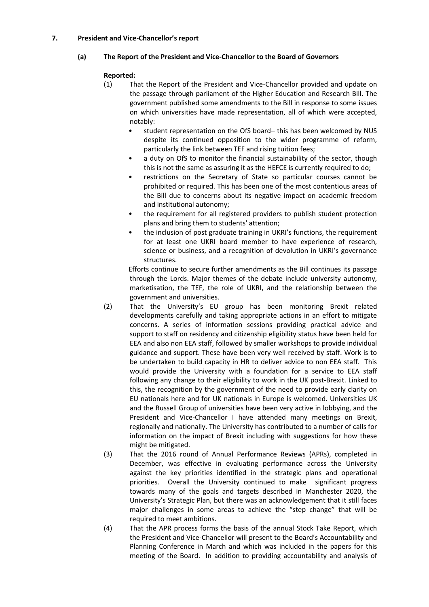## **7. President and Vice-Chancellor's report**

# **(a) The Report of the President and Vice-Chancellor to the Board of Governors**

# **Reported:**

- (1) That the Report of the President and Vice-Chancellor provided and update on the passage through parliament of the Higher Education and Research Bill. The government published some amendments to the Bill in response to some issues on which universities have made representation, all of which were accepted, notably:
	- student representation on the OfS board– this has been welcomed by NUS despite its continued opposition to the wider programme of reform, particularly the link between TEF and rising tuition fees;
	- a duty on OfS to monitor the financial sustainability of the sector, though this is not the same as assuring it as the HEFCE is currently required to do;
	- restrictions on the Secretary of State so particular courses cannot be prohibited or required. This has been one of the most contentious areas of the Bill due to concerns about its negative impact on academic freedom and institutional autonomy;
	- the requirement for all registered providers to publish student protection plans and bring them to students' attention;
	- the inclusion of post graduate training in UKRI's functions, the requirement for at least one UKRI board member to have experience of research, science or business, and a recognition of devolution in UKRI's governance structures.

Efforts continue to secure further amendments as the Bill continues its passage through the Lords. Major themes of the debate include university autonomy, marketisation, the TEF, the role of UKRI, and the relationship between the government and universities.

- (2) That the University's EU group has been monitoring Brexit related developments carefully and taking appropriate actions in an effort to mitigate concerns. A series of information sessions providing practical advice and support to staff on residency and citizenship eligibility status have been held for EEA and also non EEA staff, followed by smaller workshops to provide individual guidance and support. These have been very well received by staff. Work is to be undertaken to build capacity in HR to deliver advice to non EEA staff. This would provide the University with a foundation for a service to EEA staff following any change to their eligibility to work in the UK post-Brexit. Linked to this, the recognition by the government of the need to provide early clarity on EU nationals here and for UK nationals in Europe is welcomed. Universities UK and the Russell Group of universities have been very active in lobbying, and the President and Vice-Chancellor I have attended many meetings on Brexit, regionally and nationally. The University has contributed to a number of calls for information on the impact of Brexit including with suggestions for how these might be mitigated.
- (3) That the 2016 round of Annual Performance Reviews (APRs), completed in December, was effective in evaluating performance across the University against the key priorities identified in the strategic plans and operational priorities. Overall the University continued to make significant progress towards many of the goals and targets described in Manchester 2020, the University's Strategic Plan, but there was an acknowledgement that it still faces major challenges in some areas to achieve the "step change" that will be required to meet ambitions.
- (4) That the APR process forms the basis of the annual Stock Take Report, which the President and Vice-Chancellor will present to the Board's Accountability and Planning Conference in March and which was included in the papers for this meeting of the Board. In addition to providing accountability and analysis of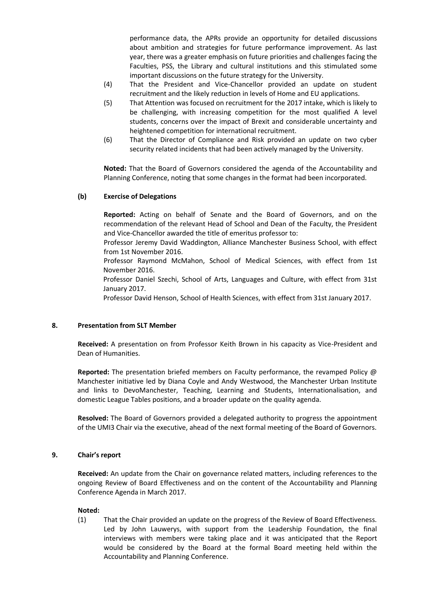performance data, the APRs provide an opportunity for detailed discussions about ambition and strategies for future performance improvement. As last year, there was a greater emphasis on future priorities and challenges facing the Faculties, PSS, the Library and cultural institutions and this stimulated some important discussions on the future strategy for the University.

- (4) That the President and Vice-Chancellor provided an update on student recruitment and the likely reduction in levels of Home and EU applications.
- (5) That Attention was focused on recruitment for the 2017 intake, which is likely to be challenging, with increasing competition for the most qualified A level students, concerns over the impact of Brexit and considerable uncertainty and heightened competition for international recruitment.
- (6) That the Director of Compliance and Risk provided an update on two cyber security related incidents that had been actively managed by the University.

**Noted:** That the Board of Governors considered the agenda of the Accountability and Planning Conference, noting that some changes in the format had been incorporated.

## **(b) Exercise of Delegations**

**Reported:** Acting on behalf of Senate and the Board of Governors, and on the recommendation of the relevant Head of School and Dean of the Faculty, the President and Vice-Chancellor awarded the title of emeritus professor to:

Professor Jeremy David Waddington, Alliance Manchester Business School, with effect from 1st November 2016.

Professor Raymond McMahon, School of Medical Sciences, with effect from 1st November 2016.

Professor Daniel Szechi, School of Arts, Languages and Culture, with effect from 31st January 2017.

Professor David Henson, School of Health Sciences, with effect from 31st January 2017.

#### **8. Presentation from SLT Member**

**Received:** A presentation on from Professor Keith Brown in his capacity as Vice-President and Dean of Humanities.

**Reported:** The presentation briefed members on Faculty performance, the revamped Policy @ Manchester initiative led by Diana Coyle and Andy Westwood, the Manchester Urban Institute and links to DevoManchester, Teaching, Learning and Students, Internationalisation, and domestic League Tables positions, and a broader update on the quality agenda.

**Resolved:** The Board of Governors provided a delegated authority to progress the appointment of the UMI3 Chair via the executive, ahead of the next formal meeting of the Board of Governors.

#### **9. Chair's report**

**Received:** An update from the Chair on governance related matters, including references to the ongoing Review of Board Effectiveness and on the content of the Accountability and Planning Conference Agenda in March 2017.

#### **Noted:**

(1) That the Chair provided an update on the progress of the Review of Board Effectiveness. Led by John Lauwerys, with support from the Leadership Foundation, the final interviews with members were taking place and it was anticipated that the Report would be considered by the Board at the formal Board meeting held within the Accountability and Planning Conference.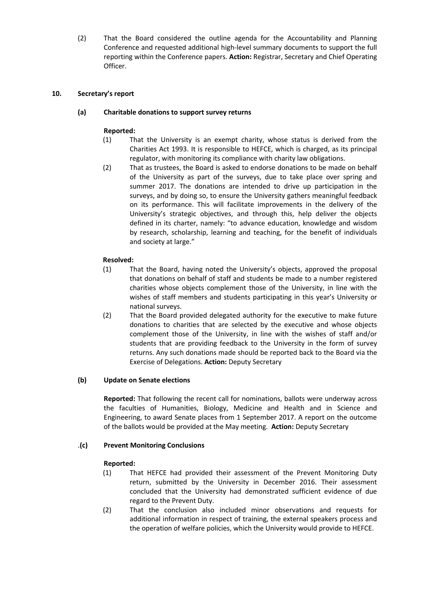(2) That the Board considered the outline agenda for the Accountability and Planning Conference and requested additional high-level summary documents to support the full reporting within the Conference papers. **Action:** Registrar, Secretary and Chief Operating Officer.

## **10. Secretary's report**

## **(a) Charitable donations to support survey returns**

## **Reported:**

- (1) That the University is an exempt charity, whose status is derived from the Charities Act 1993. It is responsible to HEFCE, which is charged, as its principal regulator, with monitoring its compliance with charity law obligations.
- (2) That as trustees, the Board is asked to endorse donations to be made on behalf of the University as part of the surveys, due to take place over spring and summer 2017. The donations are intended to drive up participation in the surveys, and by doing so, to ensure the University gathers meaningful feedback on its performance. This will facilitate improvements in the delivery of the University's strategic objectives, and through this, help deliver the objects defined in its charter, namely: "to advance education, knowledge and wisdom by research, scholarship, learning and teaching, for the benefit of individuals and society at large."

# **Resolved:**

- (1) That the Board, having noted the University's objects, approved the proposal that donations on behalf of staff and students be made to a number registered charities whose objects complement those of the University, in line with the wishes of staff members and students participating in this year's University or national surveys.
- (2) That the Board provided delegated authority for the executive to make future donations to charities that are selected by the executive and whose objects complement those of the University, in line with the wishes of staff and/or students that are providing feedback to the University in the form of survey returns. Any such donations made should be reported back to the Board via the Exercise of Delegations. **Action:** Deputy Secretary

## **(b) Update on Senate elections**

**Reported:** That following the recent call for nominations, ballots were underway across the faculties of Humanities, Biology, Medicine and Health and in Science and Engineering, to award Senate places from 1 September 2017. A report on the outcome of the ballots would be provided at the May meeting. **Action:** Deputy Secretary

## .**(c) Prevent Monitoring Conclusions**

- (1) That HEFCE had provided their assessment of the Prevent Monitoring Duty return, submitted by the University in December 2016. Their assessment concluded that the University had demonstrated sufficient evidence of due regard to the Prevent Duty.
- (2) That the conclusion also included minor observations and requests for additional information in respect of training, the external speakers process and the operation of welfare policies, which the University would provide to HEFCE.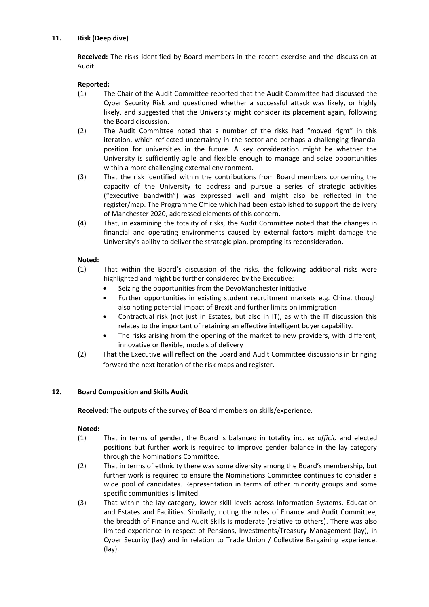# **11. Risk (Deep dive)**

**Received:** The risks identified by Board members in the recent exercise and the discussion at Audit.

# **Reported:**

- (1) The Chair of the Audit Committee reported that the Audit Committee had discussed the Cyber Security Risk and questioned whether a successful attack was likely, or highly likely, and suggested that the University might consider its placement again, following the Board discussion.
- (2) The Audit Committee noted that a number of the risks had "moved right" in this iteration, which reflected uncertainty in the sector and perhaps a challenging financial position for universities in the future. A key consideration might be whether the University is sufficiently agile and flexible enough to manage and seize opportunities within a more challenging external environment.
- (3) That the risk identified within the contributions from Board members concerning the capacity of the University to address and pursue a series of strategic activities ("executive bandwith") was expressed well and might also be reflected in the register/map. The Programme Office which had been established to support the delivery of Manchester 2020, addressed elements of this concern.
- (4) That, in examining the totality of risks, the Audit Committee noted that the changes in financial and operating environments caused by external factors might damage the University's ability to deliver the strategic plan, prompting its reconsideration.

# **Noted:**

- (1) That within the Board's discussion of the risks, the following additional risks were highlighted and might be further considered by the Executive:
	- Seizing the opportunities from the DevoManchester initiative
	- Further opportunities in existing student recruitment markets e.g. China, though also noting potential impact of Brexit and further limits on immigration
	- Contractual risk (not just in Estates, but also in IT), as with the IT discussion this relates to the important of retaining an effective intelligent buyer capability.
	- The risks arising from the opening of the market to new providers, with different, innovative or flexible, models of delivery
- (2) That the Executive will reflect on the Board and Audit Committee discussions in bringing forward the next iteration of the risk maps and register.

## **12. Board Composition and Skills Audit**

**Received:** The outputs of the survey of Board members on skills/experience.

## **Noted:**

- (1) That in terms of gender, the Board is balanced in totality inc. *ex officio* and elected positions but further work is required to improve gender balance in the lay category through the Nominations Committee.
- (2) That in terms of ethnicity there was some diversity among the Board's membership, but further work is required to ensure the Nominations Committee continues to consider a wide pool of candidates. Representation in terms of other minority groups and some specific communities is limited.
- (3) That within the lay category, lower skill levels across Information Systems, Education and Estates and Facilities. Similarly, noting the roles of Finance and Audit Committee, the breadth of Finance and Audit Skills is moderate (relative to others). There was also limited experience in respect of Pensions, Investments/Treasury Management (lay), in Cyber Security (lay) and in relation to Trade Union / Collective Bargaining experience. (lay).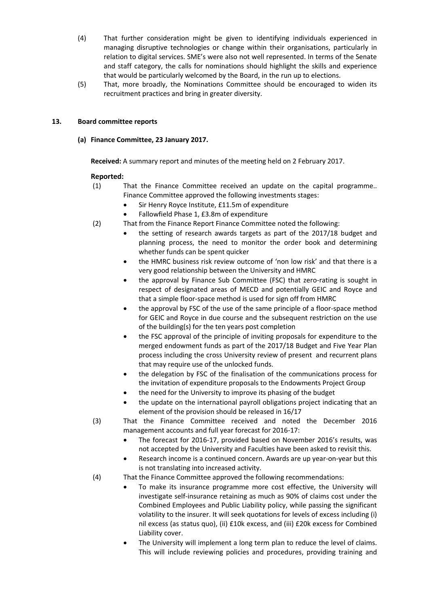- (4) That further consideration might be given to identifying individuals experienced in managing disruptive technologies or change within their organisations, particularly in relation to digital services. SME's were also not well represented. In terms of the Senate and staff category, the calls for nominations should highlight the skills and experience that would be particularly welcomed by the Board, in the run up to elections.
- (5) That, more broadly, the Nominations Committee should be encouraged to widen its recruitment practices and bring in greater diversity.

## **13. Board committee reports**

**(a) Finance Committee, 23 January 2017.**

**Received:** A summary report and minutes of the meeting held on 2 February 2017.

- (1) That the Finance Committee received an update on the capital programme.. Finance Committee approved the following investments stages:
	- Sir Henry Royce Institute, £11.5m of expenditure
	- Fallowfield Phase 1, £3.8m of expenditure
- (2) That from the Finance Report Finance Committee noted the following:
	- the setting of research awards targets as part of the 2017/18 budget and planning process, the need to monitor the order book and determining whether funds can be spent quicker
	- the HMRC business risk review outcome of 'non low risk' and that there is a very good relationship between the University and HMRC
	- the approval by Finance Sub Committee (FSC) that zero-rating is sought in respect of designated areas of MECD and potentially GEIC and Royce and that a simple floor-space method is used for sign off from HMRC
	- the approval by FSC of the use of the same principle of a floor-space method for GEIC and Royce in due course and the subsequent restriction on the use of the building(s) for the ten years post completion
	- the FSC approval of the principle of inviting proposals for expenditure to the merged endowment funds as part of the 2017/18 Budget and Five Year Plan process including the cross University review of present and recurrent plans that may require use of the unlocked funds.
	- the delegation by FSC of the finalisation of the communications process for the invitation of expenditure proposals to the Endowments Project Group
	- the need for the University to improve its phasing of the budget
	- the update on the international payroll obligations project indicating that an element of the provision should be released in 16/17
- (3) That the Finance Committee received and noted the December 2016 management accounts and full year forecast for 2016-17:
	- The forecast for 2016-17, provided based on November 2016's results, was not accepted by the University and Faculties have been asked to revisit this.
	- Research income is a continued concern. Awards are up year-on-year but this is not translating into increased activity.
- (4) That the Finance Committee approved the following recommendations:
	- To make its insurance programme more cost effective, the University will investigate self-insurance retaining as much as 90% of claims cost under the Combined Employees and Public Liability policy, while passing the significant volatility to the insurer. It will seek quotations for levels of excess including (i) nil excess (as status quo), (ii) £10k excess, and (iii) £20k excess for Combined Liability cover.
	- The University will implement a long term plan to reduce the level of claims. This will include reviewing policies and procedures, providing training and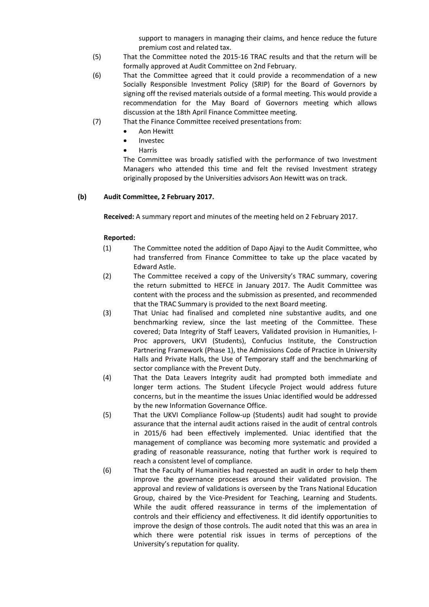support to managers in managing their claims, and hence reduce the future premium cost and related tax.

- (5) That the Committee noted the 2015-16 TRAC results and that the return will be formally approved at Audit Committee on 2nd February.
- (6) That the Committee agreed that it could provide a recommendation of a new Socially Responsible Investment Policy (SRIP) for the Board of Governors by signing off the revised materials outside of a formal meeting. This would provide a recommendation for the May Board of Governors meeting which allows discussion at the 18th April Finance Committee meeting.
- (7) That the Finance Committee received presentations from:
	- Aon Hewitt
	- Investec
	- Harris

The Committee was broadly satisfied with the performance of two Investment Managers who attended this time and felt the revised Investment strategy originally proposed by the Universities advisors Aon Hewitt was on track.

## **(b) Audit Committee, 2 February 2017.**

**Received:** A summary report and minutes of the meeting held on 2 February 2017.

- (1) The Committee noted the addition of Dapo Ajayi to the Audit Committee, who had transferred from Finance Committee to take up the place vacated by Edward Astle.
- (2) The Committee received a copy of the University's TRAC summary, covering the return submitted to HEFCE in January 2017. The Audit Committee was content with the process and the submission as presented, and recommended that the TRAC Summary is provided to the next Board meeting.
- (3) That Uniac had finalised and completed nine substantive audits, and one benchmarking review, since the last meeting of the Committee. These covered; Data Integrity of Staff Leavers, Validated provision in Humanities, I-Proc approvers, UKVI (Students), Confucius Institute, the Construction Partnering Framework (Phase 1), the Admissions Code of Practice in University Halls and Private Halls, the Use of Temporary staff and the benchmarking of sector compliance with the Prevent Duty.
- (4) That the Data Leavers Integrity audit had prompted both immediate and longer term actions. The Student Lifecycle Project would address future concerns, but in the meantime the issues Uniac identified would be addressed by the new Information Governance Office.
- (5) That the UKVI Compliance Follow-up (Students) audit had sought to provide assurance that the internal audit actions raised in the audit of central controls in 2015/6 had been effectively implemented. Uniac identified that the management of compliance was becoming more systematic and provided a grading of reasonable reassurance, noting that further work is required to reach a consistent level of compliance.
- (6) That the Faculty of Humanities had requested an audit in order to help them improve the governance processes around their validated provision. The approval and review of validations is overseen by the Trans National Education Group, chaired by the Vice-President for Teaching, Learning and Students. While the audit offered reassurance in terms of the implementation of controls and their efficiency and effectiveness. It did identify opportunities to improve the design of those controls. The audit noted that this was an area in which there were potential risk issues in terms of perceptions of the University's reputation for quality.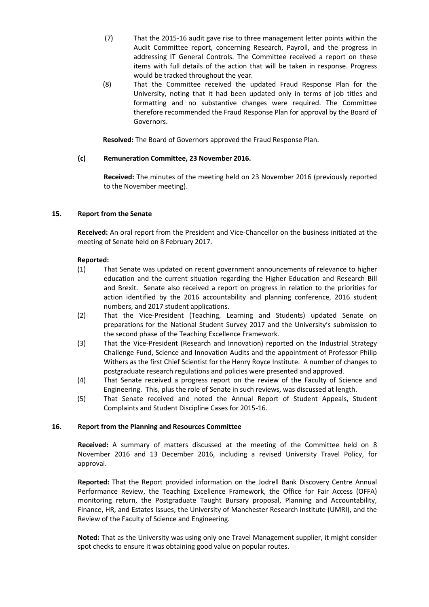- (7) That the 2015-16 audit gave rise to three management letter points within the Audit Committee report, concerning Research, Payroll, and the progress in addressing IT General Controls. The Committee received a report on these items with full details of the action that will be taken in response. Progress would be tracked throughout the year.
- (8) That the Committee received the updated Fraud Response Plan for the University, noting that it had been updated only in terms of job titles and formatting and no substantive changes were required. The Committee therefore recommended the Fraud Response Plan for approval by the Board of Governors.

**Resolved:** The Board of Governors approved the Fraud Response Plan.

### **(c) Remuneration Committee, 23 November 2016.**

**Received:** The minutes of the meeting held on 23 November 2016 (previously reported to the November meeting).

### **15. Report from the Senate**

**Received:** An oral report from the President and Vice-Chancellor on the business initiated at the meeting of Senate held on 8 February 2017.

#### **Reported:**

- (1) That Senate was updated on recent government announcements of relevance to higher education and the current situation regarding the Higher Education and Research Bill and Brexit. Senate also received a report on progress in relation to the priorities for action identified by the 2016 accountability and planning conference, 2016 student numbers, and 2017 student applications.
- (2) That the Vice-President (Teaching, Learning and Students) updated Senate on preparations for the National Student Survey 2017 and the University's submission to the second phase of the Teaching Excellence Framework.
- (3) That the Vice-President (Research and Innovation) reported on the Industrial Strategy Challenge Fund, Science and Innovation Audits and the appointment of Professor Philip Withers as the first Chief Scientist for the Henry Royce Institute. A number of changes to postgraduate research regulations and policies were presented and approved.
- (4) That Senate received a progress report on the review of the Faculty of Science and Engineering. This, plus the role of Senate in such reviews, was discussed at length.
- (5) That Senate received and noted the Annual Report of Student Appeals, Student Complaints and Student Discipline Cases for 2015-16.

#### **16. Report from the Planning and Resources Committee**

**Received:** A summary of matters discussed at the meeting of the Committee held on 8 November 2016 and 13 December 2016, including a revised University Travel Policy, for approval.

**Reported:** That the Report provided information on the Jodrell Bank Discovery Centre Annual Performance Review, the Teaching Excellence Framework, the Office for Fair Access (OFFA) monitoring return, the Postgraduate Taught Bursary proposal, Planning and Accountability, Finance, HR, and Estates Issues, the University of Manchester Research Institute (UMRI), and the Review of the Faculty of Science and Engineering.

**Noted:** That as the University was using only one Travel Management supplier, it might consider spot checks to ensure it was obtaining good value on popular routes.